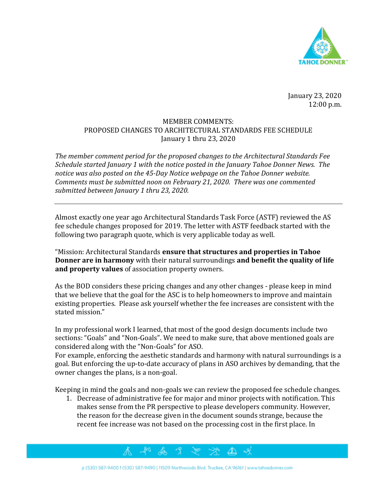

January 23, 2020 12:00 p.m.

## MEMBER COMMENTS: PROPOSED CHANGES TO ARCHITECTURAL STANDARDS FEE SCHEDULE January 1 thru 23, 2020

*The member comment period for the proposed changes to the Architectural Standards Fee Schedule started January 1 with the notice posted in the January Tahoe Donner News. The notice was also posted on the 45-Day Notice webpage on the Tahoe Donner website. Comments must be submitted noon on February 21, 2020. There was one commented submitted between January 1 thru 23, 2020.* 

Almost exactly one year ago Architectural Standards Task Force (ASTF) reviewed the AS fee schedule changes proposed for 2019. The letter with ASTF feedback started with the following two paragraph quote, which is very applicable today as well.

"Mission: Architectural Standards **ensure that structures and properties in Tahoe Donner are in harmony** with their natural surroundings **and benefit the quality of life and property values** of association property owners.

As the BOD considers these pricing changes and any other changes - please keep in mind that we believe that the goal for the ASC is to help homeowners to improve and maintain existing properties. Please ask yourself whether the fee increases are consistent with the stated mission."

In my professional work I learned, that most of the good design documents include two sections: "Goals" and "Non-Goals". We need to make sure, that above mentioned goals are considered along with the "Non-Goals" for ASO.

For example, enforcing the aesthetic standards and harmony with natural surroundings is a goal. But enforcing the up-to-date accuracy of plans in ASO archives by demanding, that the owner changes the plans, is a non-goal.

Keeping in mind the goals and non-goals we can review the proposed fee schedule changes.

1. Decrease of administrative fee for major and minor projects with notification. This makes sense from the PR perspective to please developers community. However, the reason for the decrease given in the document sounds strange, because the recent fee increase was not based on the processing cost in the first place. In